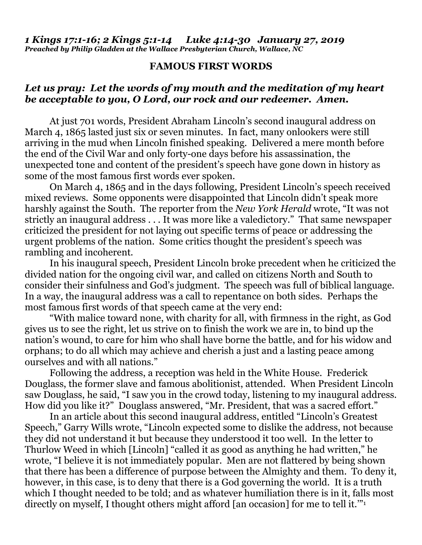## **FAMOUS FIRST WORDS**

## *Let us pray: Let the words of my mouth and the meditation of my heart be acceptable to you, O Lord, our rock and our redeemer. Amen.*

At just 701 words, President Abraham Lincoln's second inaugural address on March 4, 1865 lasted just six or seven minutes. In fact, many onlookers were still arriving in the mud when Lincoln finished speaking. Delivered a mere month before the end of the Civil War and only forty-one days before his assassination, the unexpected tone and content of the president's speech have gone down in history as some of the most famous first words ever spoken.

On March 4, 1865 and in the days following, President Lincoln's speech received mixed reviews. Some opponents were disappointed that Lincoln didn't speak more harshly against the South. The reporter from the *New York Herald* wrote, "It was not strictly an inaugural address . . . It was more like a valedictory." That same newspaper criticized the president for not laying out specific terms of peace or addressing the urgent problems of the nation. Some critics thought the president's speech was rambling and incoherent.

In his inaugural speech, President Lincoln broke precedent when he criticized the divided nation for the ongoing civil war, and called on citizens North and South to consider their sinfulness and God's judgment. The speech was full of biblical language. In a way, the inaugural address was a call to repentance on both sides. Perhaps the most famous first words of that speech came at the very end:

"With malice toward none, with charity for all, with firmness in the right, as God gives us to see the right, let us strive on to finish the work we are in, to bind up the nation's wound, to care for him who shall have borne the battle, and for his widow and orphans; to do all which may achieve and cherish a just and a lasting peace among ourselves and with all nations."

Following the address, a reception was held in the White House. Frederick Douglass, the former slave and famous abolitionist, attended. When President Lincoln saw Douglass, he said, "I saw you in the crowd today, listening to my inaugural address. How did you like it?" Douglass answered, "Mr. President, that was a sacred effort."

In an article about this second inaugural address, entitled "Lincoln's Greatest Speech," Garry Wills wrote, "Lincoln expected some to dislike the address, not because they did not understand it but because they understood it too well. In the letter to Thurlow Weed in which [Lincoln] "called it as good as anything he had written," he wrote, "I believe it is not immediately popular. Men are not flattered by being shown that there has been a difference of purpose between the Almighty and them. To deny it, however, in this case, is to deny that there is a God governing the world. It is a truth which I thought needed to be told; and as whatever humiliation there is in it, falls most directly on myself, I thought others might afford [an occasion] for me to tell it.'"<sup>1</sup>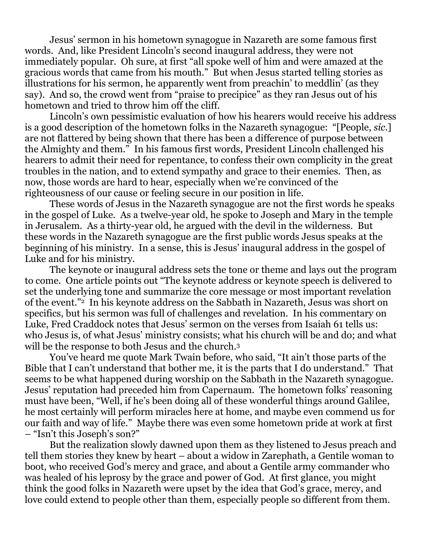Jesus' sermon in his hometown synagogue in Nazareth are some famous first words. And, like President Lincoln's second inaugural address, they were not immediately popular. Oh sure, at first "all spoke well of him and were amazed at the gracious words that came from his mouth." But when Jesus started telling stories as illustrations for his sermon, he apparently went from preachin' to meddlin' (as they say). And so, the crowd went from "praise to precipice" as they ran Jesus out of his hometown and tried to throw him off the cliff.

Lincoln's own pessimistic evaluation of how his hearers would receive his address is a good description of the hometown folks in the Nazareth synagogue: "[People, *sic*.] are not flattered by being shown that there has been a difference of purpose between the Almighty and them." In his famous first words, President Lincoln challenged his hearers to admit their need for repentance, to confess their own complicity in the great troubles in the nation, and to extend sympathy and grace to their enemies. Then, as now, those words are hard to hear, especially when we're convinced of the righteousness of our cause or feeling secure in our position in life.

These words of Jesus in the Nazareth synagogue are not the first words he speaks in the gospel of Luke. As a twelve-year old, he spoke to Joseph and Mary in the temple in Jerusalem. As a thirty-year old, he argued with the devil in the wilderness. But these words in the Nazareth synagogue are the first public words Jesus speaks at the beginning of his ministry. In a sense, this is Jesus' inaugural address in the gospel of Luke and for his ministry.

The keynote or inaugural address sets the tone or theme and lays out the program to come. One article points out "The keynote address or keynote speech is delivered to set the underlying tone and summarize the core message or most important revelation of the event."2 In his keynote address on the Sabbath in Nazareth, Jesus was short on specifics, but his sermon was full of challenges and revelation. In his commentary on Luke, Fred Craddock notes that Jesus' sermon on the verses from Isaiah 61 tells us: who Jesus is, of what Jesus' ministry consists; what his church will be and do; and what will be the response to both Jesus and the church.<sup>3</sup>

You've heard me quote Mark Twain before, who said, "It ain't those parts of the Bible that I can't understand that bother me, it is the parts that I do understand." That seems to be what happened during worship on the Sabbath in the Nazareth synagogue. Jesus' reputation had preceded him from Capernaum. The hometown folks' reasoning must have been, "Well, if he's been doing all of these wonderful things around Galilee, he most certainly will perform miracles here at home, and maybe even commend us for our faith and way of life." Maybe there was even some hometown pride at work at first – "Isn't this Joseph's son?"

But the realization slowly dawned upon them as they listened to Jesus preach and tell them stories they knew by heart – about a widow in Zarephath, a Gentile woman to boot, who received God's mercy and grace, and about a Gentile army commander who was healed of his leprosy by the grace and power of God. At first glance, you might think the good folks in Nazareth were upset by the idea that God's grace, mercy, and love could extend to people other than them, especially people so different from them.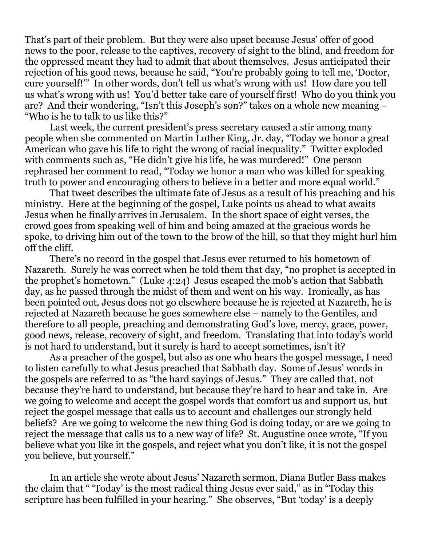That's part of their problem. But they were also upset because Jesus' offer of good news to the poor, release to the captives, recovery of sight to the blind, and freedom for the oppressed meant they had to admit that about themselves. Jesus anticipated their rejection of his good news, because he said, "You're probably going to tell me, 'Doctor, cure yourself!'" In other words, don't tell us what's wrong with us! How dare you tell us what's wrong with us! You'd better take care of yourself first! Who do you think you are? And their wondering, "Isn't this Joseph's son?" takes on a whole new meaning – "Who is he to talk to us like this?"

Last week, the current president's press secretary caused a stir among many people when she commented on Martin Luther King, Jr. day, "Today we honor a great American who gave his life to right the wrong of racial inequality." Twitter exploded with comments such as, "He didn't give his life, he was murdered!" One person rephrased her comment to read, "Today we honor a man who was killed for speaking truth to power and encouraging others to believe in a better and more equal world."

That tweet describes the ultimate fate of Jesus as a result of his preaching and his ministry. Here at the beginning of the gospel, Luke points us ahead to what awaits Jesus when he finally arrives in Jerusalem. In the short space of eight verses, the crowd goes from speaking well of him and being amazed at the gracious words he spoke, to driving him out of the town to the brow of the hill, so that they might hurl him off the cliff.

There's no record in the gospel that Jesus ever returned to his hometown of Nazareth. Surely he was correct when he told them that day, "no prophet is accepted in the prophet's hometown." (Luke 4:24) Jesus escaped the mob's action that Sabbath day, as he passed through the midst of them and went on his way. Ironically, as has been pointed out, Jesus does not go elsewhere because he is rejected at Nazareth, he is rejected at Nazareth because he goes somewhere else – namely to the Gentiles, and therefore to all people, preaching and demonstrating God's love, mercy, grace, power, good news, release, recovery of sight, and freedom. Translating that into today's world is not hard to understand, but it surely is hard to accept sometimes, isn't it?

As a preacher of the gospel, but also as one who hears the gospel message, I need to listen carefully to what Jesus preached that Sabbath day. Some of Jesus' words in the gospels are referred to as "the hard sayings of Jesus." They are called that, not because they're hard to understand, but because they're hard to hear and take in. Are we going to welcome and accept the gospel words that comfort us and support us, but reject the gospel message that calls us to account and challenges our strongly held beliefs? Are we going to welcome the new thing God is doing today, or are we going to reject the message that calls us to a new way of life? St. Augustine once wrote, "If you believe what you like in the gospels, and reject what you don't like, it is not the gospel you believe, but yourself."

In an article she wrote about Jesus' Nazareth sermon, Diana Butler Bass makes the claim that " 'Today' is the most radical thing Jesus ever said," as in "Today this scripture has been fulfilled in your hearing." She observes, "But 'today' is a deeply